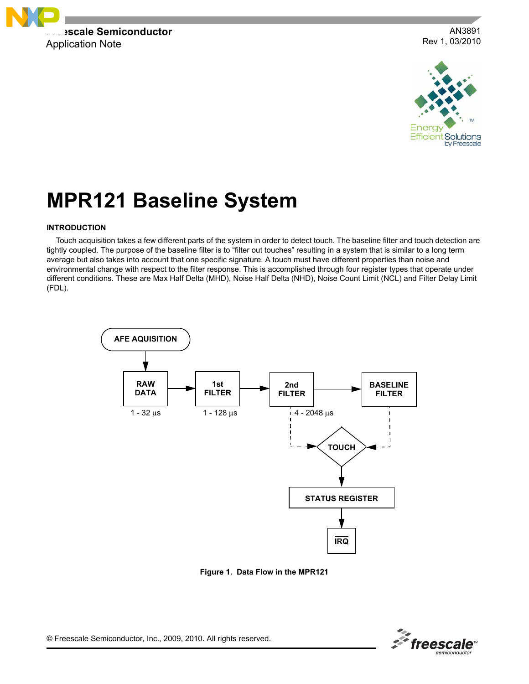

AN3891 Rev 1, 03/2010



# **MPR121 Baseline System**

## **INTRODUCTION**

Touch acquisition takes a few different parts of the system in order to detect touch. The baseline filter and touch detection are tightly coupled. The purpose of the baseline filter is to "filter out touches" resulting in a system that is similar to a long term average but also takes into account that one specific signature. A touch must have different properties than noise and environmental change with respect to the filter response. This is accomplished through four register types that operate under different conditions. These are Max Half Delta (MHD), Noise Half Delta (NHD), Noise Count Limit (NCL) and Filter Delay Limit (FDL).



**Figure 1. Data Flow in the MPR121**



© Freescale Semiconductor, Inc., 2009, 2010. All rights reserved.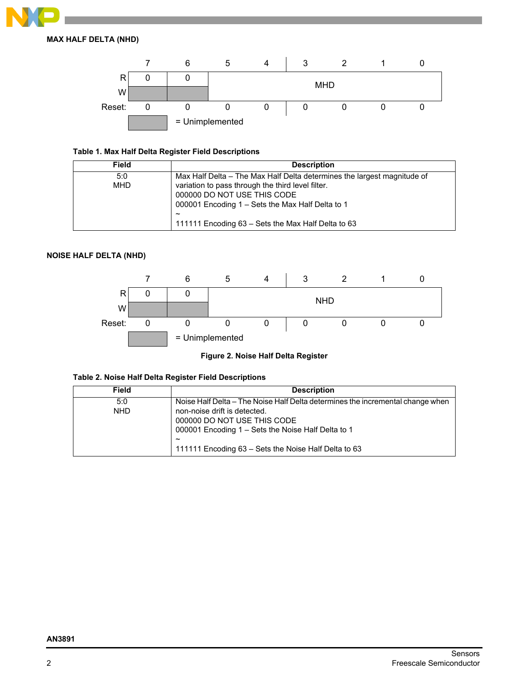

**MAX HALF DELTA (NHD)**



# **Table 1. Max Half Delta Register Field Descriptions**

| <b>Field</b> | <b>Description</b>                                                      |
|--------------|-------------------------------------------------------------------------|
| 5:0          | Max Half Delta – The Max Half Delta determines the largest magnitude of |
| <b>MHD</b>   | variation to pass through the third level filter.                       |
|              | 000000 DO NOT USE THIS CODE                                             |
|              | 000001 Encoding 1 – Sets the Max Half Delta to 1                        |
|              | $\tilde{\phantom{a}}$                                                   |
|              | 111111 Encoding 63 – Sets the Max Half Delta to 63                      |

## **NOISE HALF DELTA (NHD)**



**Figure 2. Noise Half Delta Register**

# **Table 2. Noise Half Delta Register Field Descriptions**

| <b>Field</b> | <b>Description</b>                                                             |
|--------------|--------------------------------------------------------------------------------|
| 5:0          | Noise Half Delta – The Noise Half Delta determines the incremental change when |
| <b>NHD</b>   | non-noise drift is detected.                                                   |
|              | 000000 DO NOT USE THIS CODE                                                    |
|              | 000001 Encoding 1 - Sets the Noise Half Delta to 1                             |
|              | $\tilde{\phantom{a}}$                                                          |
|              | 111111 Encoding 63 – Sets the Noise Half Delta to 63                           |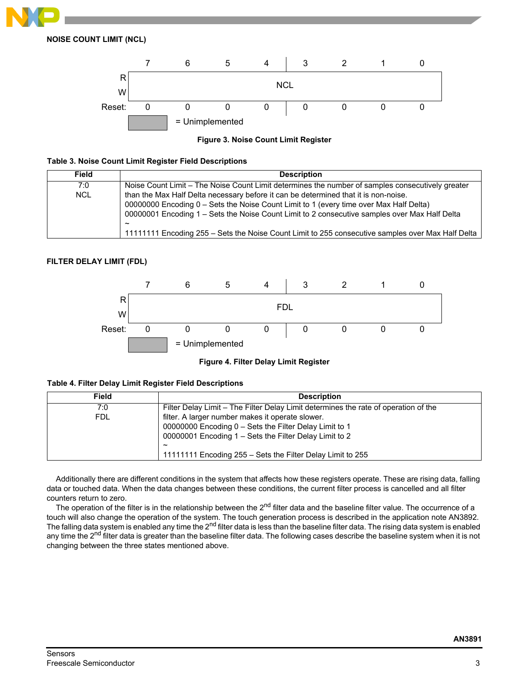

**NOISE COUNT LIMIT (NCL)**



**Figure 3. Noise Count Limit Register**

## **Table 3. Noise Count Limit Register Field Descriptions**

| <b>Field</b> | <b>Description</b>                                                                                                                                                                                                                                                                                                                                                                                           |
|--------------|--------------------------------------------------------------------------------------------------------------------------------------------------------------------------------------------------------------------------------------------------------------------------------------------------------------------------------------------------------------------------------------------------------------|
| 7:0          | Noise Count Limit – The Noise Count Limit determines the number of samples consecutively greater                                                                                                                                                                                                                                                                                                             |
| <b>NCL</b>   | than the Max Half Delta necessary before it can be determined that it is non-noise.<br>00000000 Encoding 0 – Sets the Noise Count Limit to 1 (every time over Max Half Delta)<br>00000001 Encoding 1 – Sets the Noise Count Limit to 2 consecutive samples over Max Half Delta<br>$\tilde{\phantom{a}}$<br>11111111 Encoding 255 – Sets the Noise Count Limit to 255 consecutive samples over Max Half Delta |

## **FILTER DELAY LIMIT (FDL)**



**Figure 4. Filter Delay Limit Register**

| Field | <b>Description</b>                                                                  |
|-------|-------------------------------------------------------------------------------------|
| 7:0   | Filter Delay Limit – The Filter Delay Limit determines the rate of operation of the |
| FDL.  | filter. A larger number makes it operate slower.                                    |
|       | 00000000 Encoding 0 – Sets the Filter Delay Limit to 1                              |
|       | 00000001 Encoding 1 – Sets the Filter Delay Limit to 2                              |
|       | $\tilde{\phantom{a}}$                                                               |
|       | 11111111 Encoding 255 – Sets the Filter Delay Limit to 255                          |

Additionally there are different conditions in the system that affects how these registers operate. These are rising data, falling data or touched data. When the data changes between these conditions, the current filter process is cancelled and all filter counters return to zero.

The operation of the filter is in the relationship between the 2<sup>nd</sup> filter data and the baseline filter value. The occurrence of a touch will also change the operation of the system. The touch generation process is described in the application note AN3892. The falling data system is enabled any time the 2<sup>nd</sup> filter data is less than the baseline filter data. The rising data system is enabled any time the 2<sup>nd</sup> filter data is greater than the baseline filter data. The following cases describe the baseline system when it is not changing between the three states mentioned above.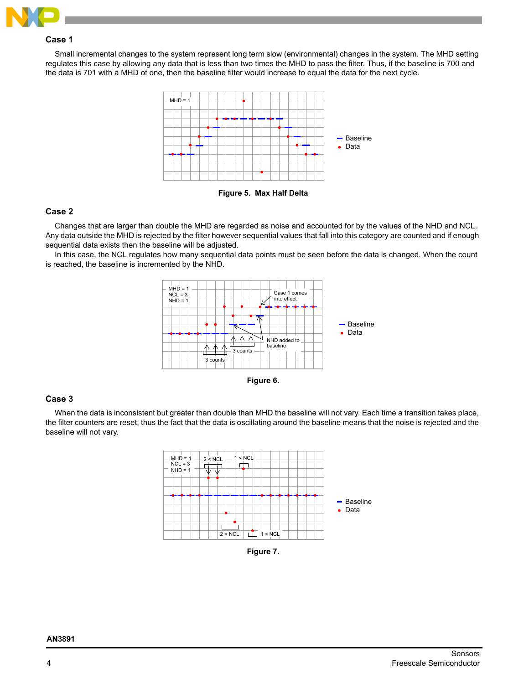

## **Case 1**

Small incremental changes to the system represent long term slow (environmental) changes in the system. The MHD setting regulates this case by allowing any data that is less than two times the MHD to pass the filter. Thus, if the baseline is 700 and the data is 701 with a MHD of one, then the baseline filter would increase to equal the data for the next cycle.



**Figure 5. Max Half Delta**

## **Case 2**

Changes that are larger than double the MHD are regarded as noise and accounted for by the values of the NHD and NCL. Any data outside the MHD is rejected by the filter however sequential values that fall into this category are counted and if enough sequential data exists then the baseline will be adjusted.

In this case, the NCL regulates how many sequential data points must be seen before the data is changed. When the count is reached, the baseline is incremented by the NHD.





## **Case 3**

When the data is inconsistent but greater than double than MHD the baseline will not vary. Each time a transition takes place, the filter counters are reset, thus the fact that the data is oscillating around the baseline means that the noise is rejected and the baseline will not vary.



**Figure 7.** 

| AN3891 |  |
|--------|--|
|--------|--|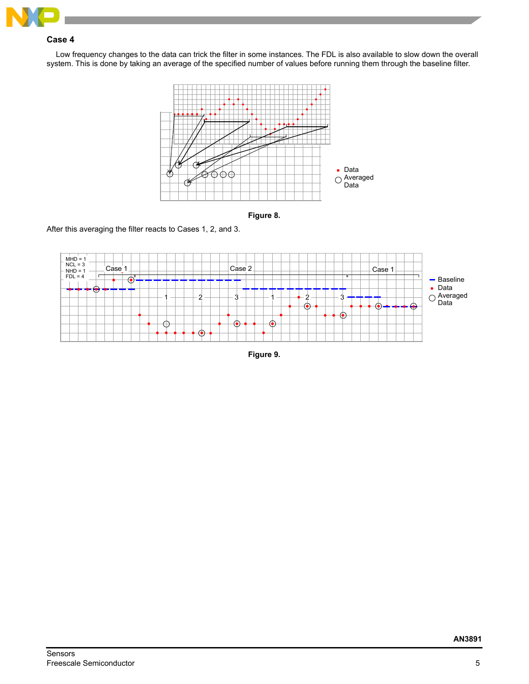

# **Case 4**

Low frequency changes to the data can trick the filter in some instances. The FDL is also available to slow down the overall system. This is done by taking an average of the specified number of values before running them through the baseline filter.





After this averaging the filter reacts to Cases 1, 2, and 3.



**Figure 9.**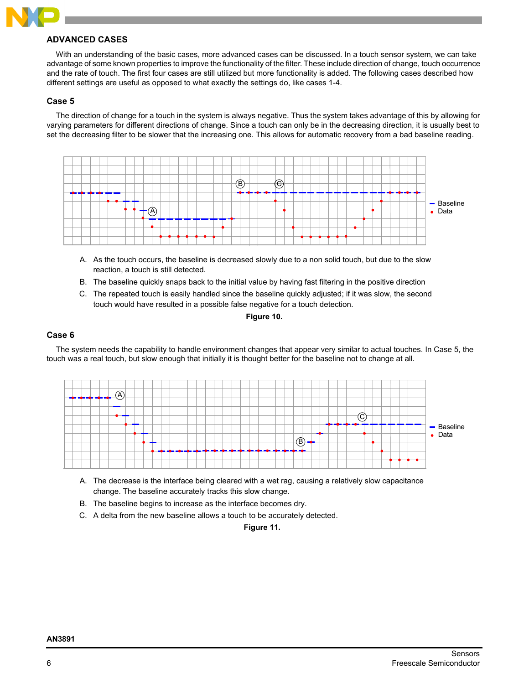

## **ADVANCED CASES**

With an understanding of the basic cases, more advanced cases can be discussed. In a touch sensor system, we can take advantage of some known properties to improve the functionality of the filter. These include direction of change, touch occurrence and the rate of touch. The first four cases are still utilized but more functionality is added. The following cases described how different settings are useful as opposed to what exactly the settings do, like cases 1-4.

## **Case 5**

The direction of change for a touch in the system is always negative. Thus the system takes advantage of this by allowing for varying parameters for different directions of change. Since a touch can only be in the decreasing direction, it is usually best to set the decreasing filter to be slower that the increasing one. This allows for automatic recovery from a bad baseline reading.



- A. As the touch occurs, the baseline is decreased slowly due to a non solid touch, but due to the slow reaction, a touch is still detected.
- B. The baseline quickly snaps back to the initial value by having fast filtering in the positive direction
- C. The repeated touch is easily handled since the baseline quickly adjusted; if it was slow, the second touch would have resulted in a possible false negative for a touch detection.

## **Figure 10.**

## **Case 6**

The system needs the capability to handle environment changes that appear very similar to actual touches. In Case 5, the touch was a real touch, but slow enough that initially it is thought better for the baseline not to change at all.



- A. The decrease is the interface being cleared with a wet rag, causing a relatively slow capacitance change. The baseline accurately tracks this slow change.
- B. The baseline begins to increase as the interface becomes dry.
- C. A delta from the new baseline allows a touch to be accurately detected.

**Figure 11.**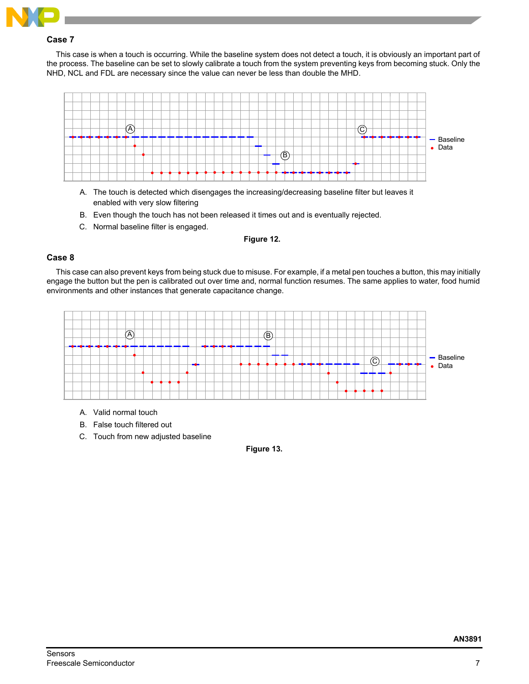

## **Case 7**

This case is when a touch is occurring. While the baseline system does not detect a touch, it is obviously an important part of the process. The baseline can be set to slowly calibrate a touch from the system preventing keys from becoming stuck. Only the NHD, NCL and FDL are necessary since the value can never be less than double the MHD.



- A. The touch is detected which disengages the increasing/decreasing baseline filter but leaves it enabled with very slow filtering
- B. Even though the touch has not been released it times out and is eventually rejected.
- C. Normal baseline filter is engaged.

## **Figure 12.**

## **Case 8**

This case can also prevent keys from being stuck due to misuse. For example, if a metal pen touches a button, this may initially engage the button but the pen is calibrated out over time and, normal function resumes. The same applies to water, food humid environments and other instances that generate capacitance change.



- A. Valid normal touch
- B. False touch filtered out
- C. Touch from new adjusted baseline

**Figure 13.**